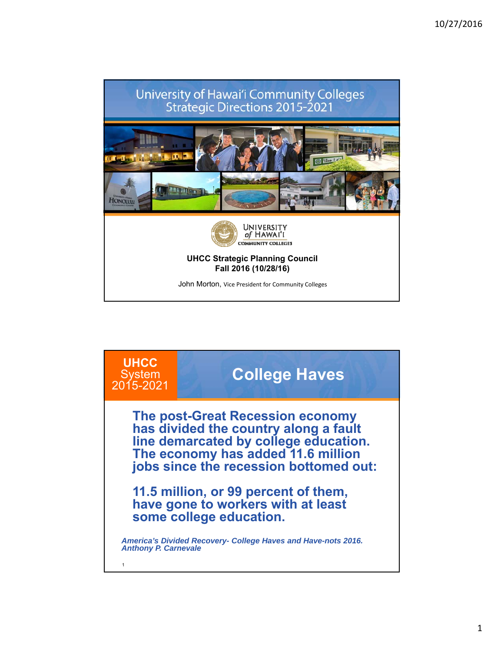

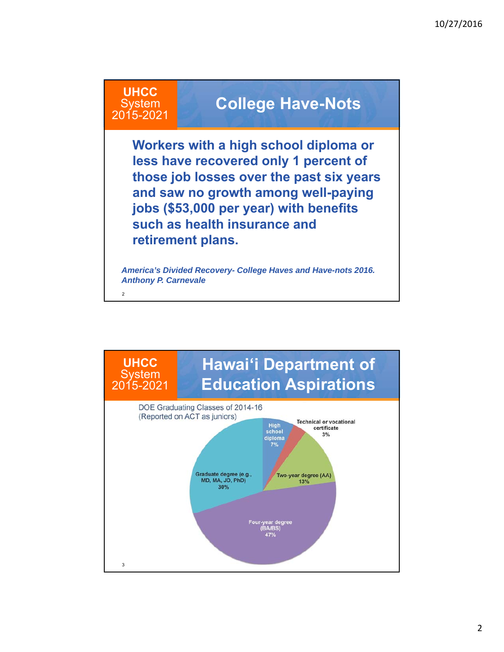#### **UHCC System** 2015-2021

 $\overline{2}$ 

### **College Have-Nots**

**Workers with a high school diploma or less have recovered only 1 percent of those job losses over the past six years and saw no growth among well-paying jobs (\$53,000 per year) with benefits such as health insurance and retirement plans.**

*America's Divided Recovery- College Haves and Have-nots 2016. Anthony P. Carnevale*

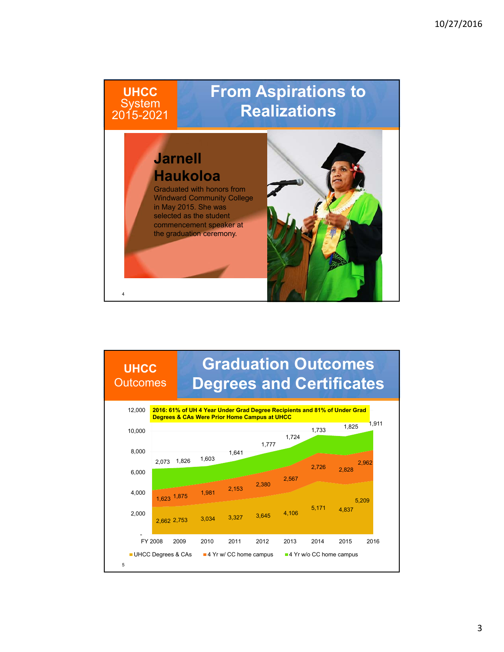### 4 **From Aspirations to Realizations UHCC System** 2015-2021 **Jarnell Haukoloa** Graduated with honors from Windward Community College in May 2015. She was selected as the student commencement speaker at the graduation ceremony.

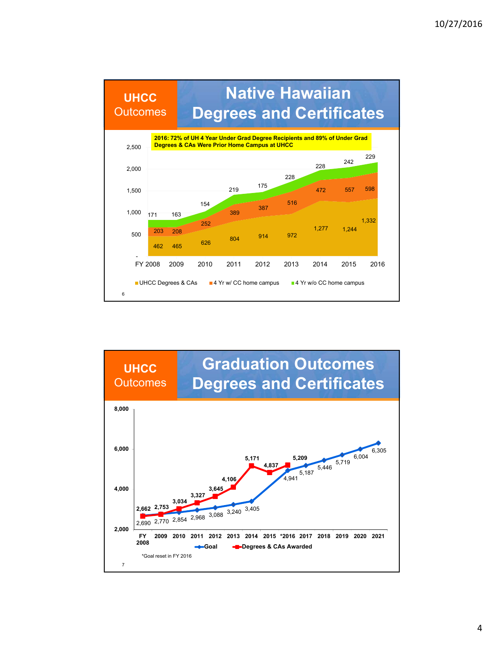

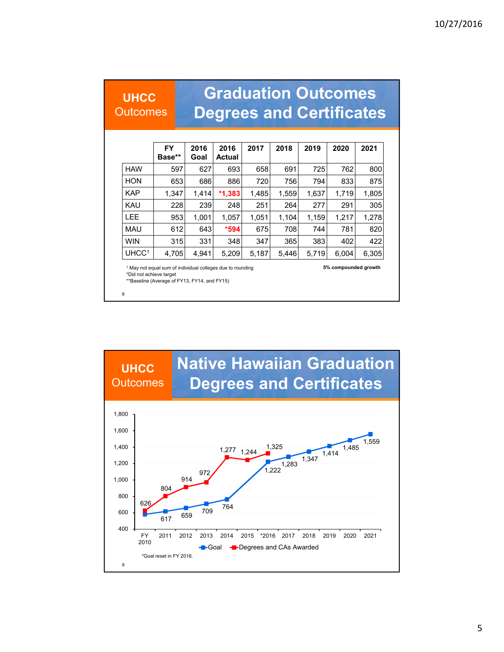### **UHCC**

**Outcomes** 

### **Graduation Outcomes Degrees and Certificates**

|                   | <b>FY</b><br>Base** | 2016<br>Goal | 2016<br><b>Actual</b> | 2017  | 2018  | 2019  | 2020  | 2021  |
|-------------------|---------------------|--------------|-----------------------|-------|-------|-------|-------|-------|
| <b>HAW</b>        | 597                 | 627          | 693                   | 658   | 691   | 725   | 762   | 800   |
| <b>HON</b>        | 653                 | 686          | 886                   | 720   | 756   | 794   | 833   | 875   |
| <b>KAP</b>        | 1,347               | 1,414        | $*1,383$              | 1,485 | 1,559 | 1,637 | 1,719 | 1,805 |
| <b>KAU</b>        | 228                 | 239          | 248                   | 251   | 264   | 277   | 291   | 305   |
| <b>LEE</b>        | 953                 | 1.001        | 1.057                 | 1,051 | 1.104 | 1,159 | 1.217 | 1,278 |
| MAU               | 612                 | 643          | $*594$                | 675   | 708   | 744   | 781   | 820   |
| <b>WIN</b>        | 315                 | 331          | 348                   | 347   | 365   | 383   | 402   | 422   |
| UHCC <sup>1</sup> | 4,705               | 4,941        | 5,209                 | 5,187 | 5,446 | 5,719 | 6,004 | 6,305 |

<sup>1</sup> May not equal sum of individual colleges due to rounding **5% compounded growth**

\*Did not achieve target \*\*Baseline (Average of FY13, FY14, and FY15)

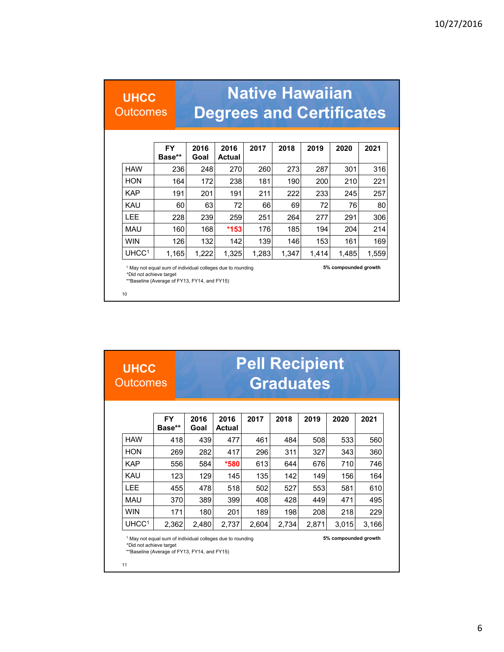### **UHCC**

**Outcomes** 

# **Native Hawaiian Degrees and Certificates**

|                   | <b>FY</b><br>Base** | 2016<br>Goal | 2016<br><b>Actual</b> | 2017  | 2018  | 2019  | 2020  | 2021  |
|-------------------|---------------------|--------------|-----------------------|-------|-------|-------|-------|-------|
| <b>HAW</b>        | 236                 | 248          | 270                   | 260   | 273   | 287   | 301   | 316   |
| <b>HON</b>        | 164                 | 172          | 238                   | 181   | 190   | 200   | 210   | 221   |
| <b>KAP</b>        | 191                 | 201          | 191                   | 211   | 222   | 233   | 245   | 257   |
| <b>KAU</b>        | 60                  | 63           | 72                    | 66    | 69    | 72    | 76    | 80    |
| <b>LEE</b>        | 228                 | 239          | 259                   | 251   | 264   | 277   | 291   | 306   |
| <b>MAU</b>        | 160                 | 168          | $*153$                | 176   | 185   | 194   | 204   | 214   |
| <b>WIN</b>        | 126                 | 132          | 142                   | 139   | 146   | 153   | 161   | 169   |
| UHCC <sup>1</sup> | 1,165               | 1,222        | 1,325                 | 1,283 | 1.347 | 1.414 | 1,485 | 1,559 |

<sup>1</sup> May not equal sum of individual colleges due to rounding **5% compounded growth**

\*Did not achieve target \*\*Baseline (Average of FY13, FY14, and FY15)

10

#### **FY Base\*\* 2016 Goal 2016 Actual 2017 2018 2019 2020 2021** HAW | 418| 439| 477| 461| 484| 508| 533| 560 HON 269 282 417 296 311 327 343 360 KAP 556 584 **\*580** 613 644 676 710 746 KAU | 123| 129| 145| 135| 142| 149| 156| 164 LEE | 455| 478| 518| 502| 527| 553| 581| 610 MAU 370 389 399 408 428 449 471 495 WIN | 171| 180| 201| 189| 198| 208| 218| 229 UHCC1 2,362 2,480 2,737 2,604 2,734 2,871 3,015 3,166 **UHCC Outcomes** <sup>1</sup> May not equal sum of individual colleges due to rounding **5% compounded growth** \*Did not achieve target **Pell Recipient Graduates**

\*\*Baseline (Average of FY13, FY14, and FY15)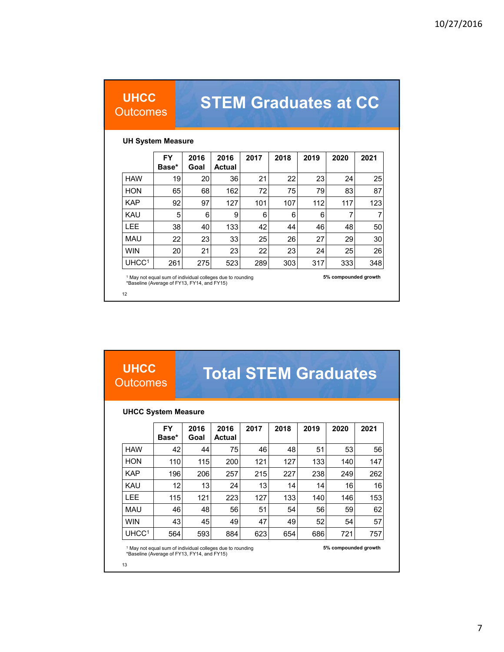#### **UHCC Outcomes**

# **STEM Graduates at CC**

#### **UH System Measure**

|                   | <b>FY</b><br>Base* | 2016<br>Goal | 2016<br><b>Actual</b> | 2017 | 2018 | 2019 | 2020 | 2021 |
|-------------------|--------------------|--------------|-----------------------|------|------|------|------|------|
| <b>HAW</b>        | 19                 | 20           | 36                    | 21   | 22   | 23   | 24   | 25   |
| <b>HON</b>        | 65                 | 68           | 162                   | 72   | 75   | 79   | 83   | 87   |
| <b>KAP</b>        | 92                 | 97           | 127                   | 101  | 107  | 112  | 117  | 123  |
| KAU               | 5                  | 6            | 9                     | 6    | 6    | 6    | 7    | 7    |
| LEE               | 38                 | 40           | 133                   | 42   | 44   | 46   | 48   | 50   |
| <b>MAU</b>        | 22                 | 23           | 33                    | 25   | 26   | 27   | 29   | 30   |
| <b>WIN</b>        | 20                 | 21           | 23                    | 22   | 23   | 24   | 25   | 26   |
| UHCC <sup>1</sup> | 261                | 275          | 523                   | 289  | 303  | 317  | 333  | 348  |

<sup>1</sup> May not equal sum of individual colleges due to rounding **5% compounded growth** \*Baseline (Average of FY13, FY14, and FY15)

12

**UHCC Outcomes** 

# **Total STEM Graduates**

#### **UHCC System Measure**

|                   | <b>FY</b><br>Base* | 2016<br>Goal | 2016<br><b>Actual</b> | 2017 | 2018 | 2019 | 2020 | 2021 |
|-------------------|--------------------|--------------|-----------------------|------|------|------|------|------|
| <b>HAW</b>        | 42                 | 44           | 75                    | 46   | 48   | 51   | 53   | 56   |
| <b>HON</b>        | 110                | 115          | 200                   | 121  | 127  | 133  | 140  | 147  |
| <b>KAP</b>        | 196                | 206          | 257                   | 215  | 227  | 238  | 249  | 262  |
| <b>KAU</b>        | 12                 | 13           | 24                    | 13   | 14   | 14   | 16   | 16   |
| LEE               | 115                | 121          | 223                   | 127  | 133  | 140  | 146  | 153  |
| <b>MAU</b>        | 46                 | 48           | 56                    | 51   | 54   | 56   | 59   | 62   |
| <b>WIN</b>        | 43                 | 45           | 49                    | 47   | 49   | 52   | 54   | 57   |
| UHCC <sup>1</sup> | 564                | 593          | 884                   | 623  | 654  | 686  | 721  | 757  |

<sup>1</sup> May not equal sum of individual colleges due to rounding **5% compounded growth 5%**<br>\*Baseline (Average of FY13, FY14, and FY15)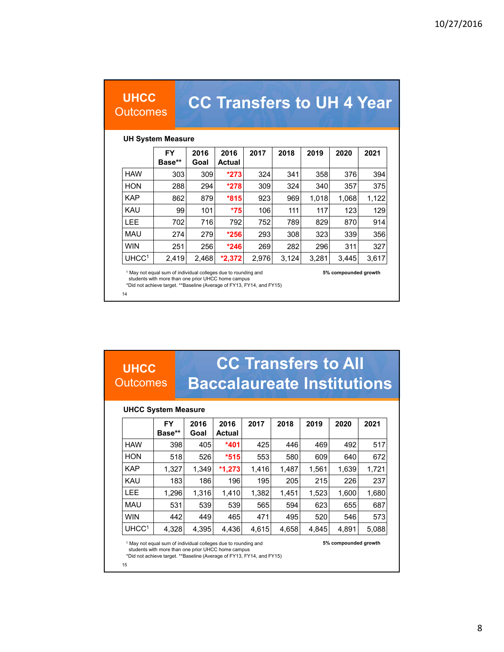#### **UHCC Outcomes**

# **CC Transfers to UH 4 Year**

#### **UH System Measure**

|                   | <b>FY</b><br>Base** | 2016<br>Goal | 2016<br><b>Actual</b> | 2017  | 2018  | 2019  | 2020  | 2021  |
|-------------------|---------------------|--------------|-----------------------|-------|-------|-------|-------|-------|
| <b>HAW</b>        | 303                 | 309          | $*273$                | 324   | 341   | 358   | 376   | 394   |
| <b>HON</b>        | 288                 | 294          | $*278$                | 309   | 324   | 340   | 357   | 375   |
| <b>KAP</b>        | 862                 | 879          | $*815$                | 923   | 969   | 1,018 | 1,068 | 1,122 |
| <b>KAU</b>        | 99                  | 101          | $*75$                 | 106   | 111   | 117   | 123   | 129   |
| <b>LEE</b>        | 702                 | 716          | 792                   | 752   | 789   | 829   | 870   | 914   |
| <b>MAU</b>        | 274                 | 279          | $*256$                | 293   | 308   | 323   | 339   | 356   |
| <b>WIN</b>        | 251                 | 256          | $*246$                | 269   | 282   | 296   | 311   | 327   |
| UHCC <sup>1</sup> | 2,419               | 2,468        | $*2,372$              | 2,976 | 3,124 | 3,281 | 3,445 | 3,617 |

<sup>1</sup> May not equal sum of individual colleges due to rounding and **5% compounded growth** students with more than one prior UHCC home campus

\*Did not achieve target. \*\*Baseline (Average of FY13, FY14, and FY15)

14

**UHCC**

#### **Outcomes CC Transfers to All Baccalaureate Institutions**

#### **UHCC System Measure**

|                   | <b>FY</b><br>Base** | 2016<br>Goal | 2016<br><b>Actual</b> | 2017  | 2018  | 2019  | 2020  | 2021  |
|-------------------|---------------------|--------------|-----------------------|-------|-------|-------|-------|-------|
| <b>HAW</b>        | 398                 | 405          | $*401$                | 425   | 446   | 469   | 492   | 517   |
| <b>HON</b>        | 518                 | 526          | $*515$                | 553   | 580   | 609   | 640   | 672   |
| <b>KAP</b>        | 1,327               | 1,349        | $*1,273$              | 1,416 | 1,487 | 1,561 | 1,639 | 1,721 |
| <b>KAU</b>        | 183                 | 186          | 196                   | 195   | 205   | 215   | 226   | 237   |
| <b>LEE</b>        | 1,296               | 1,316        | 1,410                 | 1,382 | 1,451 | 1,523 | 1,600 | 1,680 |
| <b>MAU</b>        | 531                 | 539          | 539                   | 565   | 594   | 623   | 655   | 687   |
| <b>WIN</b>        | 442                 | 449          | 465                   | 471   | 495   | 520   | 546   | 573   |
| UHCC <sup>1</sup> | 4,328               | 4,395        | 4,436                 | 4,615 | 4,658 | 4,845 | 4,891 | 5,088 |

<sup>1</sup> May not equal sum of individual colleges due to rounding and **5% compounded growth** students with more than one prior UHCC home campus

\*Did not achieve target. \*\*Baseline (Average of FY13, FY14, and FY15)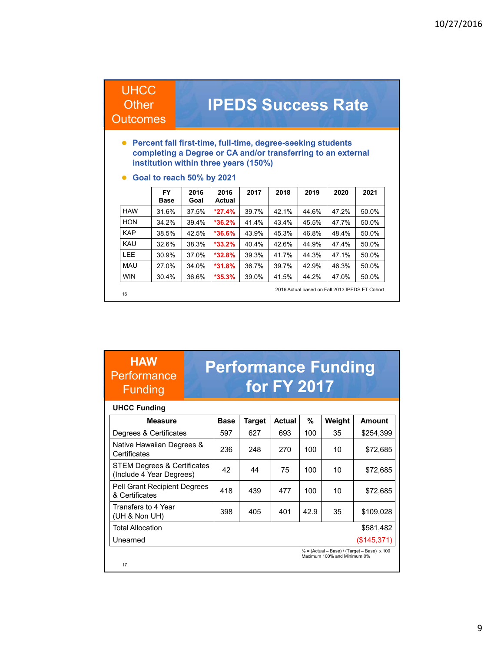#### **UHCC Other**

### **IPEDS Success Rate**

#### **Outcomes**

- **Percent fall first-time, full-time, degree-seeking students completing a Degree or CA and/or transferring to an external institution within three years (150%)**
- **Goal to reach 50% by 2021**

|            | <b>FY</b><br><b>Base</b> | 2016<br>Goal | 2016<br><b>Actual</b> | 2017  | 2018  | 2019  | 2020  | 2021                                           |
|------------|--------------------------|--------------|-----------------------|-------|-------|-------|-------|------------------------------------------------|
| <b>HAW</b> | 31.6%                    | 37.5%        | $*27.4%$              | 39.7% | 42.1% | 44.6% | 47.2% | 50.0%                                          |
| <b>HON</b> | 34.2%                    | 39.4%        | $*36.2%$              | 41.4% | 43.4% | 45.5% | 47.7% | 50.0%                                          |
| <b>KAP</b> | 38.5%                    | 42.5%        | $*36.6%$              | 43.9% | 45.3% | 46.8% | 48.4% | 50.0%                                          |
| KAU        | 32.6%                    | 38.3%        | $*33.2\%$             | 40.4% | 42.6% | 44.9% | 47.4% | 50.0%                                          |
| LEE.       | 30.9%                    | 37.0%        | $*32.8%$              | 39.3% | 41.7% | 44.3% | 47.1% | 50.0%                                          |
| <b>MAU</b> | 27.0%                    | 34.0%        | $*31.8%$              | 36.7% | 39.7% | 42.9% | 46.3% | 50.0%                                          |
| <b>WIN</b> | 30.4%                    | 36.6%        | $*35.3%$              | 39.0% | 41.5% | 44.2% | 47.0% | 50.0%                                          |
| 16         |                          |              |                       |       |       |       |       | 2016 Actual based on Fall 2013 IPEDS FT Cohort |

#### **HAW Performance** Funding

### **Performance Funding for FY 2017**

#### **UHCC Funding**

| <b>Measure</b>                                                     | <b>Base</b> | <b>Target</b> | <b>Actual</b> | %    | Weight                      | <b>Amount</b>                               |
|--------------------------------------------------------------------|-------------|---------------|---------------|------|-----------------------------|---------------------------------------------|
| Degrees & Certificates                                             | 597         | 627           | 693           | 100  | 35                          | \$254,399                                   |
| Native Hawaiian Degrees &<br>Certificates                          | 236         | 248           | 270           | 100  | 10                          | \$72,685                                    |
| <b>STEM Degrees &amp; Certificates</b><br>(Include 4 Year Degrees) | 42          | 44            | 75            | 100  | 10                          | \$72,685                                    |
| Pell Grant Recipient Degrees<br>& Certificates                     | 418         | 439           | 477           | 100  | 10                          | \$72,685                                    |
| Transfers to 4 Year<br>(UH & Non UH)                               | 398         | 405           | 401           | 42.9 | 35                          | \$109,028                                   |
| <b>Total Allocation</b>                                            |             |               |               |      |                             | \$581,482                                   |
| Unearned                                                           |             |               |               |      |                             | (\$145,371)                                 |
| 17                                                                 |             |               |               |      | Maximum 100% and Minimum 0% | % = (Actual - Base) / (Target - Base) x 100 |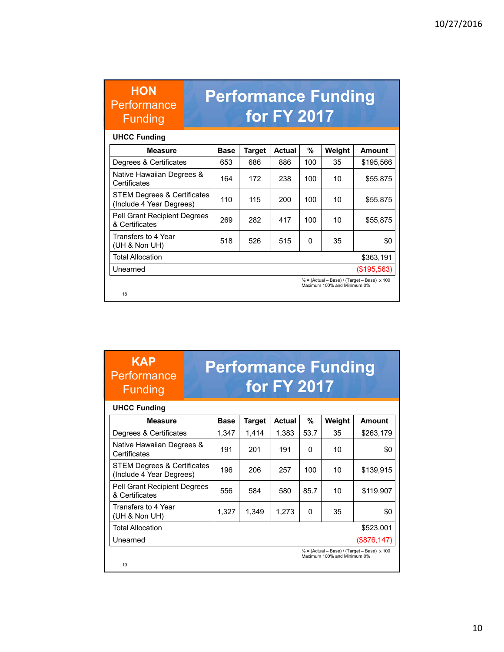| <b>HON</b><br>Performance<br><b>Funding</b>             |             |               | <b>for FY 2017</b> |              | <b>Performance Funding</b>  |                                             |
|---------------------------------------------------------|-------------|---------------|--------------------|--------------|-----------------------------|---------------------------------------------|
| <b>UHCC Funding</b>                                     |             |               |                    |              |                             |                                             |
| <b>Measure</b>                                          | <b>Base</b> | <b>Target</b> | Actual             | %            | Weight                      | Amount                                      |
| Degrees & Certificates                                  | 653         | 686           | 886                | 100          | 35                          | \$195,566                                   |
| Native Hawaiian Degrees &<br>Certificates               | 164         | 172           | 238                | 100          | 10                          | \$55,875                                    |
| STEM Degrees & Certificates<br>(Include 4 Year Degrees) | 110         | 115           | 200                | 100          | 10                          | \$55,875                                    |
| Pell Grant Recipient Degrees<br>& Certificates          | 269         | 282           | 417                | 100          | 10                          | \$55,875                                    |
| Transfers to 4 Year<br>(UH & Non UH)                    | 518         | 526           | 515                | <sup>0</sup> | 35                          | \$0                                         |
| <b>Total Allocation</b>                                 |             |               |                    |              |                             | \$363,191                                   |
| Unearned                                                |             |               |                    |              |                             | (\$195,563)                                 |
| 18                                                      |             |               |                    |              | Maximum 100% and Minimum 0% | % = (Actual - Base) / (Target - Base) x 100 |

#### **UHCC Funding**

**KAP Performance** Funding

| <b>Measure</b>                                                             | <b>Base</b> | <b>Target</b> | <b>Actual</b> | %            | Weight | <b>Amount</b> |
|----------------------------------------------------------------------------|-------------|---------------|---------------|--------------|--------|---------------|
| Degrees & Certificates                                                     | 1,347       | 1.414         | 1,383         | 53.7         | 35     | \$263,179     |
| Native Hawaiian Degrees &<br>Certificates                                  | 191         | 201           | 191           | 0            | 10     | \$0           |
| <b>STEM Degrees &amp; Certificates</b><br>(Include 4 Year Degrees)         | 196         | 206           | 257           | 100          | 10     | \$139,915     |
| Pell Grant Recipient Degrees<br>& Certificates                             | 556         | 584           | 580           | 85.7         | 10     | \$119,907     |
| Transfers to 4 Year<br>(UH & Non UH)                                       | 1,327       | 1,349         | 1,273         | $\mathbf{0}$ | 35     | \$0           |
| <b>Total Allocation</b>                                                    |             |               |               |              |        | \$523,001     |
| Unearned                                                                   |             |               |               |              |        | (\$876,147)   |
| % = (Actual - Base) / (Target - Base) x 100<br>Maximum 100% and Minimum 0% |             |               |               |              |        |               |
| 19                                                                         |             |               |               |              |        |               |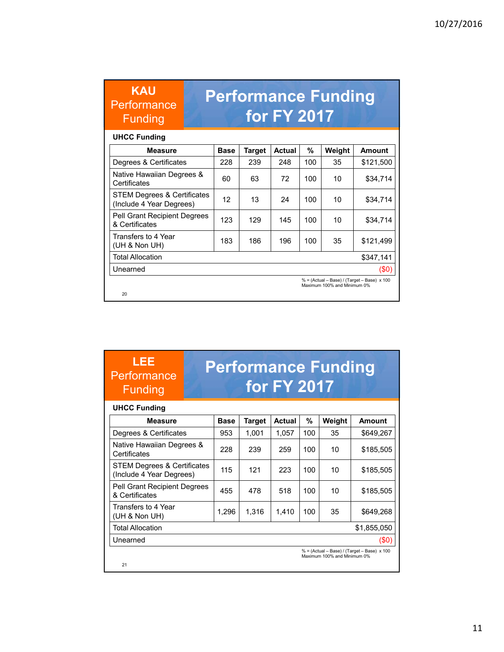| <b>KAU</b><br>Performance<br><b>Funding</b>                        |             |               | for FY 2017   |     | <b>Performance Funding</b>  |                                                    |
|--------------------------------------------------------------------|-------------|---------------|---------------|-----|-----------------------------|----------------------------------------------------|
| <b>UHCC Funding</b>                                                |             |               |               |     |                             |                                                    |
| <b>Measure</b>                                                     | <b>Base</b> | <b>Target</b> | <b>Actual</b> | %   | Weight                      | Amount                                             |
| Degrees & Certificates                                             | 228         | 239           | 248           | 100 | 35                          | \$121,500                                          |
| Native Hawaiian Degrees &<br>Certificates                          | 60          | 63            | 72            | 100 | 10                          | \$34,714                                           |
| <b>STEM Degrees &amp; Certificates</b><br>(Include 4 Year Degrees) | 12          | 13            | 24            | 100 | 10                          | \$34,714                                           |
| <b>Pell Grant Recipient Degrees</b><br>& Certificates              | 123         | 129           | 145           | 100 | 10                          | \$34,714                                           |
| Transfers to 4 Year<br>(UH & Non UH)                               | 183         | 186           | 196           | 100 | 35                          | \$121,499                                          |
| <b>Total Allocation</b>                                            |             |               |               |     |                             | \$347,141                                          |
| Unearned                                                           |             |               |               |     |                             | (\$0)                                              |
| 20                                                                 |             |               |               |     | Maximum 100% and Minimum 0% | $% = (Actual - Base) / (Target - Base) \times 100$ |

#### **UHCC Funding**

**LEE Performance** Funding

| <b>Measure</b>                                                     | <b>Base</b> | <b>Target</b> | <b>Actual</b> | %   | Weight                      | <b>Amount</b>                                      |
|--------------------------------------------------------------------|-------------|---------------|---------------|-----|-----------------------------|----------------------------------------------------|
| Degrees & Certificates                                             | 953         | 1,001         | 1,057         | 100 | 35                          | \$649,267                                          |
| Native Hawaiian Degrees &<br>Certificates                          | 228         | 239           | 259           | 100 | 10                          | \$185,505                                          |
| <b>STEM Degrees &amp; Certificates</b><br>(Include 4 Year Degrees) | 115         | 121           | 223           | 100 | 10                          | \$185,505                                          |
| <b>Pell Grant Recipient Degrees</b><br>& Certificates              | 455         | 478           | 518           | 100 | 10                          | \$185,505                                          |
| Transfers to 4 Year<br>(UH & Non UH)                               | 1.296       | 1,316         | 1.410         | 100 | 35                          | \$649,268                                          |
| <b>Total Allocation</b>                                            |             |               |               |     |                             | \$1,855,050                                        |
| Unearned                                                           |             |               |               |     |                             | (\$0)                                              |
| 21                                                                 |             |               |               |     | Maximum 100% and Minimum 0% | $% = (Actual - Base) / (Target - Base) \times 100$ |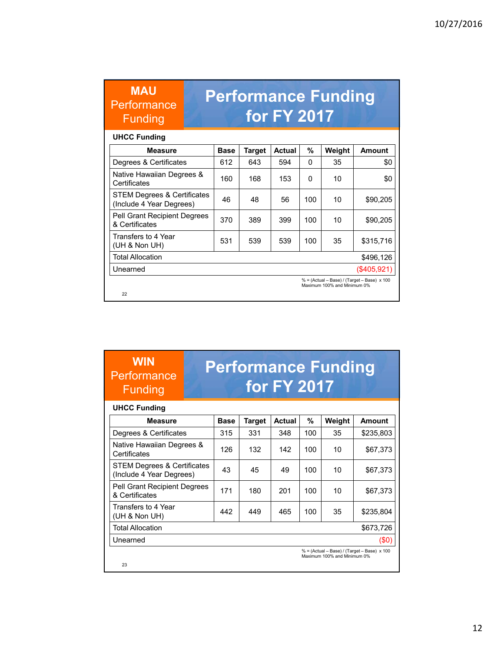| <b>MAU</b><br>Performance<br><b>Funding</b>             |             |               | <b>for FY 2017</b> |     | <b>Performance Funding</b>  |                                                    |
|---------------------------------------------------------|-------------|---------------|--------------------|-----|-----------------------------|----------------------------------------------------|
| <b>UHCC Funding</b>                                     |             |               |                    |     |                             |                                                    |
| <b>Measure</b>                                          | <b>Base</b> | <b>Target</b> | <b>Actual</b>      | %   | Weight                      | Amount                                             |
| Degrees & Certificates                                  | 612         | 643           | 594                | 0   | 35                          | \$0                                                |
| Native Hawaiian Degrees &<br>Certificates               | 160         | 168           | 153                | 0   | 10                          | \$0                                                |
| STEM Degrees & Certificates<br>(Include 4 Year Degrees) | 46          | 48            | 56                 | 100 | 10                          | \$90,205                                           |
| <b>Pell Grant Recipient Degrees</b><br>& Certificates   | 370         | 389           | 399                | 100 | 10                          | \$90,205                                           |
| Transfers to 4 Year<br>(UH & Non UH)                    | 531         | 539           | 539                | 100 | 35                          | \$315,716                                          |
| <b>Total Allocation</b>                                 |             |               |                    |     |                             | \$496,126                                          |
| Unearned                                                |             |               |                    |     |                             | (\$405,921)                                        |
| 22                                                      |             |               |                    |     | Maximum 100% and Minimum 0% | $% = (Actual - Base) / (Target - Base) \times 100$ |

#### **UHCC Funding**

**WIN Performance** Funding

| <b>Measure</b>                                          | <b>Base</b> | Target | <b>Actual</b> | %   | Weight                      | <b>Amount</b>                                      |
|---------------------------------------------------------|-------------|--------|---------------|-----|-----------------------------|----------------------------------------------------|
| Degrees & Certificates                                  | 315         | 331    | 348           | 100 | 35                          | \$235,803                                          |
| Native Hawaiian Degrees &<br>Certificates               | 126         | 132    | 142           | 100 | 10                          | \$67,373                                           |
| STEM Degrees & Certificates<br>(Include 4 Year Degrees) | 43          | 45     | 49            | 100 | 10                          | \$67,373                                           |
| Pell Grant Recipient Degrees<br>& Certificates          | 171         | 180    | 201           | 100 | 10                          | \$67,373                                           |
| Transfers to 4 Year<br>(UH $&$ Non UH)                  | 442         | 449    | 465           | 100 | 35                          | \$235,804                                          |
| <b>Total Allocation</b>                                 |             |        |               |     |                             | \$673,726                                          |
| Unearned                                                |             |        |               |     |                             | (\$0)                                              |
| 23                                                      |             |        |               |     | Maximum 100% and Minimum 0% | $% = (Actual - Base) / (Target - Base) \times 100$ |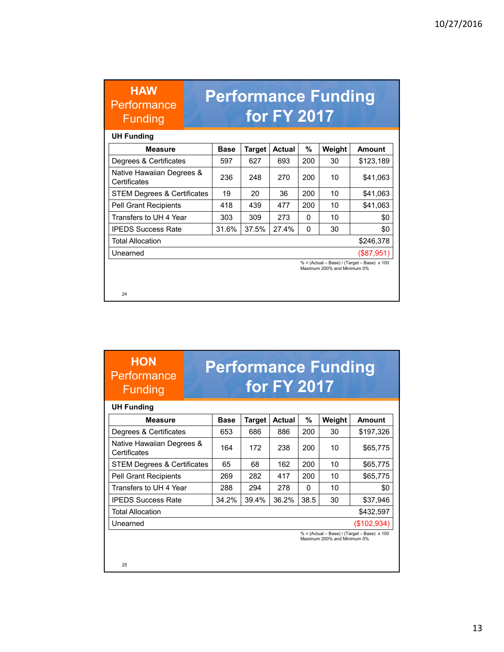| <b>HAW</b><br>Performance<br><b>Funding</b> |             |               | <b>for FY 2017</b> |     | <b>Performance Funding</b>  |                                                    |
|---------------------------------------------|-------------|---------------|--------------------|-----|-----------------------------|----------------------------------------------------|
| <b>UH Funding</b>                           |             |               |                    |     |                             |                                                    |
| <b>Measure</b>                              | <b>Base</b> | <b>Target</b> | <b>Actual</b>      | %   | Weight                      | Amount                                             |
| Degrees & Certificates                      | 597         | 627           | 693                | 200 | 30                          | \$123,189                                          |
| Native Hawaiian Degrees &<br>Certificates   | 236         | 248           | 270                | 200 | 10                          | \$41,063                                           |
| STEM Degrees & Certificates                 | 19          | 20            | 36                 | 200 | 10                          | \$41,063                                           |
| <b>Pell Grant Recipients</b>                | 418         | 439           | 477                | 200 | 10                          | \$41,063                                           |
| Transfers to UH 4 Year                      | 303         | 309           | 273                | 0   | 10                          | \$0                                                |
| <b>IPEDS Success Rate</b>                   | 31.6%       | 37.5%         | 27.4%              | 0   | 30                          | \$0                                                |
| <b>Total Allocation</b>                     |             |               |                    |     |                             | \$246,378                                          |
| Unearned                                    |             |               |                    |     |                             | (\$87,951)                                         |
|                                             |             |               |                    |     | Maximum 200% and Minimum 0% | $% = (Actual - Base) / (Target - Base) \times 100$ |
| 24                                          |             |               |                    |     |                             |                                                    |

| <b>HON</b>  |  |
|-------------|--|
| Performance |  |
| Funding     |  |

| <b>UH Funding</b>                         |             |               |               |          |                             |                                                    |
|-------------------------------------------|-------------|---------------|---------------|----------|-----------------------------|----------------------------------------------------|
| <b>Measure</b>                            | <b>Base</b> | <b>Target</b> | <b>Actual</b> | %        | Weight                      | Amount                                             |
| Degrees & Certificates                    | 653         | 686           | 886           | 200      | 30                          | \$197,326                                          |
| Native Hawaiian Degrees &<br>Certificates | 164         | 172           | 238           | 200      | 10                          | \$65,775                                           |
| <b>STEM Degrees &amp; Certificates</b>    | 65          | 68            | 162           | 200      | 10                          | \$65,775                                           |
| <b>Pell Grant Recipients</b>              | 269         | 282           | 417           | 200      | 10                          | \$65,775                                           |
| Transfers to UH 4 Year                    | 288         | 294           | 278           | $\Omega$ | 10                          | \$0                                                |
| <b>IPEDS Success Rate</b>                 | 34.2%       | 39.4%         | 36.2%         | 38.5     | 30                          | \$37.946                                           |
| <b>Total Allocation</b>                   |             |               |               |          |                             | \$432,597                                          |
| Unearned                                  |             |               |               |          |                             | (\$102,934)                                        |
|                                           |             |               |               |          | Maximum 200% and Minimum 0% | $% = (Actual - Base) / (Target - Base) \times 100$ |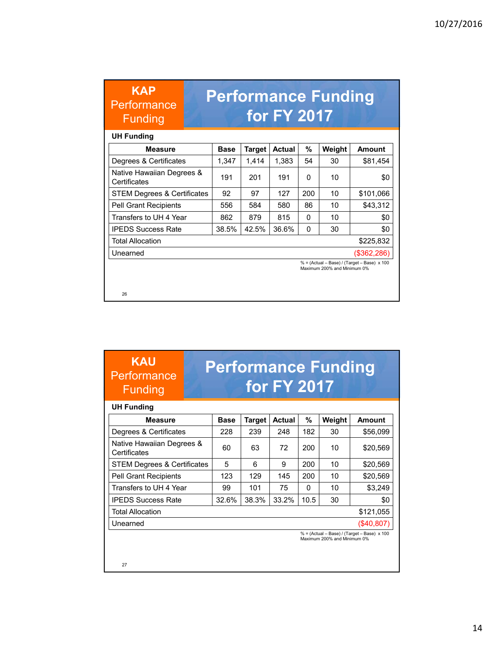| <b>Base</b> | <b>Target</b> | <b>Actual</b> | %            | Weight | Amount                                                                                                                                |
|-------------|---------------|---------------|--------------|--------|---------------------------------------------------------------------------------------------------------------------------------------|
| 1,347       | 1,414         | 1,383         | 54           | 30     | \$81,454                                                                                                                              |
| 191         | 201           | 191           | 0            | 10     | \$0                                                                                                                                   |
| 92          | 97            | 127           | 200          | 10     | \$101,066                                                                                                                             |
| 556         | 584           | 580           | 86           | 10     | \$43,312                                                                                                                              |
| 862         | 879           | 815           | <sup>0</sup> | 10     | \$0                                                                                                                                   |
| 38.5%       | 42.5%         | 36.6%         | 0            | 30     | \$0                                                                                                                                   |
|             |               |               |              |        | \$225,832                                                                                                                             |
|             |               |               |              |        | (\$362,286)                                                                                                                           |
|             |               |               |              |        |                                                                                                                                       |
|             |               |               |              |        | <b>Performance Funding</b><br><b>for FY 2017</b><br>$% = (Actual - Base) / (Target - Base) \times 100$<br>Maximum 200% and Minimum 0% |

#### **KAU Performance** Funding

### **Performance Funding for FY 2017**

| <b>UH Funding</b>                         |             |        |               |          |                             |                                             |
|-------------------------------------------|-------------|--------|---------------|----------|-----------------------------|---------------------------------------------|
| <b>Measure</b>                            | <b>Base</b> | Target | <b>Actual</b> | %        | Weight                      | Amount                                      |
| Degrees & Certificates                    | 228         | 239    | 248           | 182      | 30                          | \$56,099                                    |
| Native Hawaiian Degrees &<br>Certificates | 60          | 63     | 72            | 200      | 10                          | \$20,569                                    |
| <b>STEM Degrees &amp; Certificates</b>    | 5           | 6      | 9             | 200      | 10                          | \$20.569                                    |
| <b>Pell Grant Recipients</b>              | 123         | 129    | 145           | 200      | 10                          | \$20.569                                    |
| Transfers to UH 4 Year                    | 99          | 101    | 75            | $\Omega$ | 10                          | \$3.249                                     |
| <b>IPEDS Success Rate</b>                 | 32.6%       | 38.3%  | 33.2%         | 10.5     | 30                          | \$0                                         |
| <b>Total Allocation</b>                   |             |        |               |          |                             | \$121,055                                   |
| Unearned                                  |             |        |               |          |                             | (\$40,807)                                  |
|                                           |             |        |               |          | Maximum 200% and Minimum 0% | % = (Actual - Base) / (Target - Base) x 100 |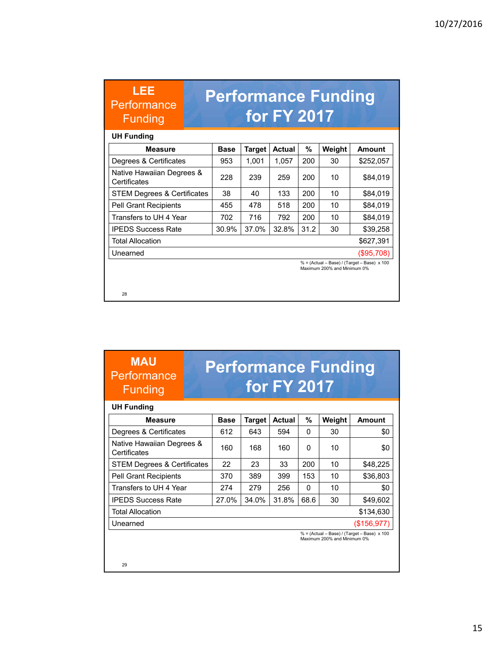| LEE<br>Performance<br><b>Funding</b>      |             |               | <b>for FY 2017</b> |      | <b>Performance Funding</b>  |                                                    |
|-------------------------------------------|-------------|---------------|--------------------|------|-----------------------------|----------------------------------------------------|
| <b>UH Funding</b>                         |             |               |                    |      |                             |                                                    |
| Measure                                   | <b>Base</b> | <b>Target</b> | <b>Actual</b>      | %    | Weight                      | <b>Amount</b>                                      |
| Degrees & Certificates                    | 953         | 1,001         | 1,057              | 200  | 30                          | \$252,057                                          |
| Native Hawaiian Degrees &<br>Certificates | 228         | 239           | 259                | 200  | 10                          | \$84,019                                           |
| <b>STEM Degrees &amp; Certificates</b>    | 38          | 40            | 133                | 200  | 10                          | \$84,019                                           |
| <b>Pell Grant Recipients</b>              | 455         | 478           | 518                | 200  | 10                          | \$84,019                                           |
| Transfers to UH 4 Year                    | 702         | 716           | 792                | 200  | 10                          | \$84,019                                           |
| <b>IPEDS Success Rate</b>                 | 30.9%       | 37.0%         | 32.8%              | 31.2 | 30                          | \$39,258                                           |
| <b>Total Allocation</b>                   |             |               |                    |      |                             | \$627,391                                          |
| Unearned                                  |             |               |                    |      |                             | (\$95,708)                                         |
|                                           |             |               |                    |      | Maximum 200% and Minimum 0% | $% = (Actual - Base) / (Target - Base) \times 100$ |
| 28                                        |             |               |                    |      |                             |                                                    |

#### **MAU Performance** Funding

### **Performance Funding for FY 2017**

#### **Measure | Base | Target | Actual | % | Weight | Amount** Degrees & Certificates 612 643 594 0 30 \$0 Native Hawaiian Degrees & Native Hawaiian Begrees &  $|160|168|160|0|10|$  10 \ \$0 STEM Degrees & Certificates 22 23 33 200 10 \$48,225 Pell Grant Recipients | 370 | 389 | 399 | 153 | 10 | \$36,803 Transfers to UH 4 Year 274 279 256 0 10 \$0 IPEDS Success Rate  $|27.0\%|34.0\%|31.8\%|68.6|30|$ \$49,602 Total Allocation  $$134,630$ Unearned (\$156,977) **UH Funding** % = (Actual – Base) / (Target – Base) x 100 Maximum 200% and Minimum 0%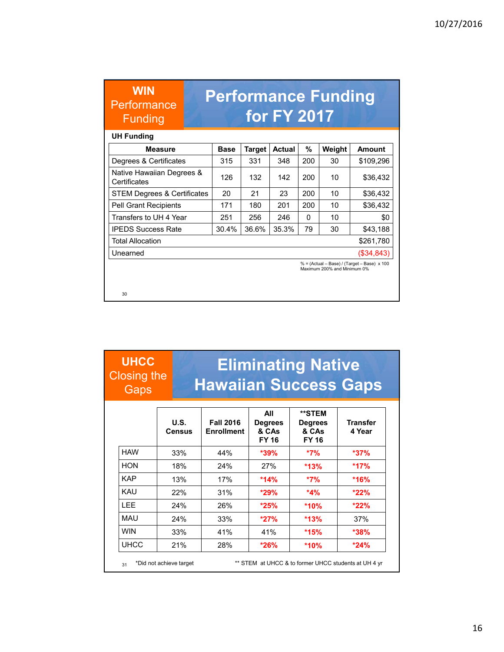| <b>Base</b> | <b>Target</b> | Actual | %   | Weight | Amount                                                                                                                  |
|-------------|---------------|--------|-----|--------|-------------------------------------------------------------------------------------------------------------------------|
| 315         | 331           | 348    | 200 | 30     | \$109,296                                                                                                               |
| 126         | 132           | 142    | 200 | 10     | \$36,432                                                                                                                |
| 20          | 21            | 23     | 200 | 10     | \$36,432                                                                                                                |
| 171         | 180           | 201    | 200 | 10     | \$36,432                                                                                                                |
| 251         | 256           | 246    | 0   | 10     | \$0                                                                                                                     |
| 30.4%       | 36.6%         | 35.3%  | 79  | 30     | \$43,188                                                                                                                |
|             |               |        |     |        | \$261,780                                                                                                               |
|             |               |        |     |        | $($ \$34,843)                                                                                                           |
|             |               |        |     |        |                                                                                                                         |
|             |               |        |     |        | <b>Performance Funding</b><br>for FY 2017<br>% = (Actual - Base) / (Target - Base) x 100<br>Maximum 200% and Minimum 0% |

| <b>UHCC</b><br><b>Closing the</b><br>Gaps |                       | <b>Hawaiian Success Gaps</b>          |                                                | <b>Eliminating Native</b>                         |                           |
|-------------------------------------------|-----------------------|---------------------------------------|------------------------------------------------|---------------------------------------------------|---------------------------|
|                                           | U.S.<br><b>Census</b> | <b>Fall 2016</b><br><b>Enrollment</b> | All<br><b>Degrees</b><br>& CAs<br><b>FY 16</b> | **STEM<br><b>Degrees</b><br>& CAs<br><b>FY 16</b> | <b>Transfer</b><br>4 Year |
| <b>HAW</b>                                | 33%                   | 44%                                   | $*39%$                                         | $*7\%$                                            | $*37\%$                   |
| <b>HON</b>                                | 18%                   | 24%                                   | 27%                                            | $*13%$                                            | *17%                      |
| <b>KAP</b>                                | 13%                   | 17%                                   | $*14%$                                         | $*7\%$                                            | *16%                      |
| <b>KAU</b>                                | 22%                   | 31%                                   | $*29%$                                         | $*4%$                                             | $*22%$                    |
| <b>LEE</b>                                | 24%                   | 26%                                   | $*25%$                                         | *10%                                              | $*22\%$                   |
| MAU                                       | 24%                   | 33%                                   | $*27%$                                         | $*13%$                                            | 37%                       |
| <b>WIN</b>                                | 33%                   | 41%                                   | 41%                                            | $*15%$                                            | $*38%$                    |
| <b>UHCC</b>                               | 21%                   | 28%                                   | $*26%$                                         | *10%                                              | $*24%$                    |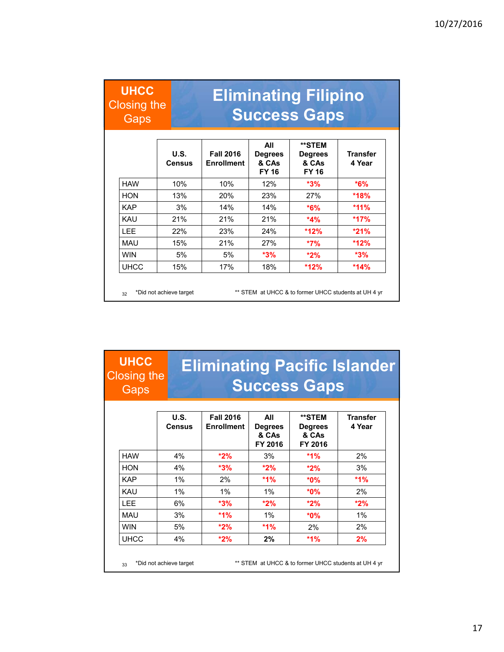#### **UHCC** Closing the **Gaps**

33

# **Eliminating Filipino Success Gaps**

|             | U.S.<br><b>Census</b> | <b>Fall 2016</b><br><b>Enrollment</b> | All<br><b>Degrees</b><br>& CAs<br><b>FY 16</b> | **STEM<br><b>Degrees</b><br>& CAs<br><b>FY 16</b> | Transfer<br>4 Year |
|-------------|-----------------------|---------------------------------------|------------------------------------------------|---------------------------------------------------|--------------------|
| <b>HAW</b>  | 10%                   | 10%                                   | 12%                                            | $*3%$                                             | $*6\%$             |
| <b>HON</b>  | 13%                   | 20%                                   | 23%                                            | 27%                                               | *18%               |
| <b>KAP</b>  | 3%                    | 14%                                   | 14%                                            | $*6%$                                             | $*11\%$            |
| KAU         | 21%                   | 21%                                   | 21%                                            | $*4%$                                             | $*17%$             |
| <b>LEE</b>  | 22%                   | 23%                                   | 24%                                            | *12%                                              | $*21%$             |
| MAU         | 15%                   | 21%                                   | 27%                                            | $*7%$                                             | $*12%$             |
| <b>WIN</b>  | 5%                    | 5%                                    | $*3%$                                          | $*2\%$                                            | $*3%$              |
| <b>UHCC</b> | 15%                   | 17%                                   | 18%                                            | $*12%$                                            | $*14%$             |

#### **U.S. Census Fall 2016 Enrollment All Degrees & CAs FY 2016 \*\*STEM Degrees & CAs FY 2016 Transfer 4 Year** HAW 4% **\*2%** 3% **\*1%** 2% HON 4% **\*3% \*2% \*2%** 3% KAP 1% 2% **\*1% \*0% \*1%** KAU 1% 1% 1% **\*0%** 2% LEE 6% **\*3% \*2% \*2% \*2%** MAU 3% **\*1%** 1% **\*0%** 1% WIN 5% **\*2% \*1%** 2% 2% UHCC 4% **\*2% 2% \*1% 2% Eliminating Pacific Islander Success Gaps UHCC** Closing the **Gaps** \*Did not achieve target \*\* STEM at UHCC & to former UHCC students at UH 4 yr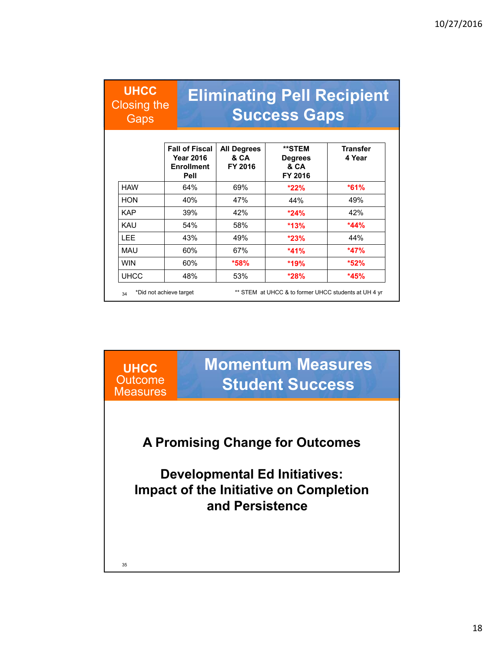**UHCC** Closing the **Gaps** 

# **Eliminating Pell Recipient Success Gaps**

|             | <b>Fall of Fiscal</b><br><b>Year 2016</b><br><b>Enrollment</b><br>Pell | <b>All Degrees</b><br>& CA<br>FY 2016 | **STEM<br><b>Degrees</b><br>& CA<br>FY 2016 | <b>Transfer</b><br>4 Year |
|-------------|------------------------------------------------------------------------|---------------------------------------|---------------------------------------------|---------------------------|
| <b>HAW</b>  | 64%                                                                    | 69%                                   | $*22%$                                      | $*61%$                    |
| <b>HON</b>  | 40%                                                                    | 47%                                   | 44%                                         | 49%                       |
| <b>KAP</b>  | 39%                                                                    | 42%                                   | $*24\%$                                     | 42%                       |
| KAU         | 54%                                                                    | 58%                                   | *13%                                        | $*44%$                    |
| <b>LEE</b>  | 43%                                                                    | 49%                                   | $*23%$                                      | 44%                       |
| MAU         | 60%                                                                    | 67%                                   | $*41%$                                      | $*47%$                    |
| <b>WIN</b>  | 60%                                                                    | $*58%$                                | *19%                                        | $*52%$                    |
| <b>UHCC</b> | 48%                                                                    | 53%                                   | $*28%$                                      | $*45%$                    |

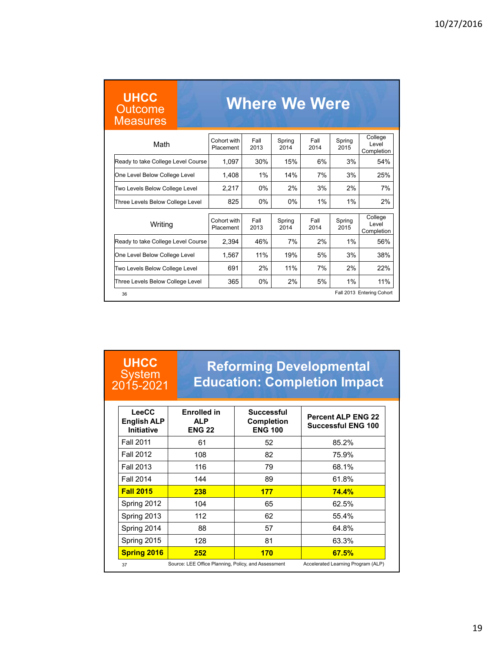| <b>UHCC</b><br><b>Outcome</b><br><b>Measures</b> |                          |              | <b>Where We Were</b> |              |                |                                 |
|--------------------------------------------------|--------------------------|--------------|----------------------|--------------|----------------|---------------------------------|
| Math                                             | Cohort with<br>Placement | Fall<br>2013 | Spring<br>2014       | Fall<br>2014 | Spring<br>2015 | College<br>Level<br>Completion  |
| Ready to take College Level Course               | 1,097                    | 30%          | 15%                  | 6%           | 3%             | 54%                             |
| One Level Below College Level                    | 1.408                    | 1%           | 14%                  | 7%           | 3%             | 25%                             |
| Two Levels Below College Level                   | 2.217                    | 0%           | 2%                   | 3%           | 2%             | 7%                              |
| Three Levels Below College Level                 | 825                      | $0\%$        | 0%                   | 1%           | 1%             | 2%                              |
| Writing                                          | Cohort with<br>Placement | Fall<br>2013 | Spring<br>2014       | Fall<br>2014 | Spring<br>2015 | College<br>I evel<br>Completion |
| Ready to take College Level Course               | 2,394                    | 46%          | 7%                   | 2%           | 1%             | 56%                             |
| One Level Below College Level                    | 1.567                    | 11%          | 19%                  | 5%           | 3%             | 38%                             |
| Two Levels Below College Level                   | 691                      | 2%           | 11%                  | 7%           | 2%             | 22%                             |
| Three Levels Below College Level                 | 365                      | 0%           | 2%                   | 5%           | 1%             | 11%                             |
| 36                                               |                          |              |                      |              |                | Fall 2013 Entering Cohort       |

#### **UHCC System** 2015-2021

#### **Reforming Developmental Education: Completion Impact**

| LeeCC<br><b>English ALP</b><br><b>Initiative</b> | <b>Enrolled in</b><br><b>ALP</b><br><b>ENG 22</b>   | <b>Successful</b><br><b>Completion</b><br><b>ENG 100</b> | <b>Percent ALP ENG 22</b><br><b>Successful ENG 100</b> |
|--------------------------------------------------|-----------------------------------------------------|----------------------------------------------------------|--------------------------------------------------------|
| <b>Fall 2011</b>                                 | 61                                                  | 52                                                       | 85.2%                                                  |
| Fall 2012                                        | 108                                                 | 82                                                       | 75.9%                                                  |
| <b>Fall 2013</b>                                 | 116                                                 | 79                                                       | 68.1%                                                  |
| <b>Fall 2014</b>                                 | 144                                                 | 89                                                       | 61.8%                                                  |
| <b>Fall 2015</b>                                 | 238                                                 | 177                                                      | 74.4%                                                  |
| Spring 2012                                      | 104                                                 | 65                                                       | 62.5%                                                  |
| Spring 2013                                      | 112                                                 | 62                                                       | 55.4%                                                  |
| Spring 2014                                      | 88                                                  | 57                                                       | 64.8%                                                  |
| Spring 2015                                      | 128                                                 | 81                                                       | 63.3%                                                  |
| <b>Spring 2016</b>                               | 252                                                 | 170                                                      | 67.5%                                                  |
| 37                                               | Source: LEE Office Planning, Policy, and Assessment |                                                          | Accelerated Learning Program (ALP)                     |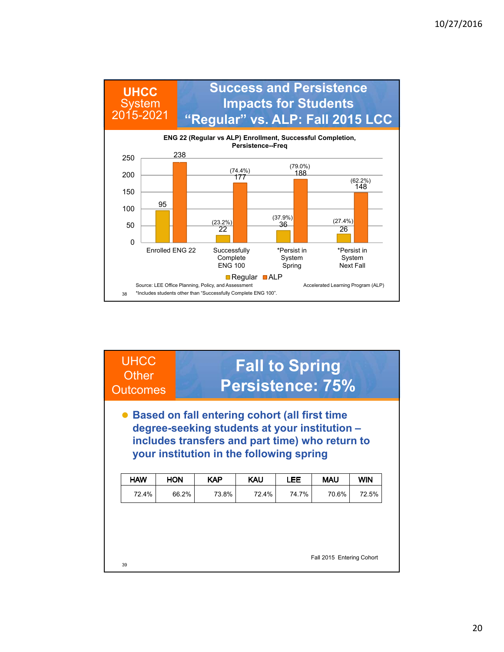

| <b>UHCC</b><br>Other<br><b>Outcomes</b> |            |            | <b>Fall to Spring</b><br>Persistence: 75%                                                                                                                                                       |            |            |            |
|-----------------------------------------|------------|------------|-------------------------------------------------------------------------------------------------------------------------------------------------------------------------------------------------|------------|------------|------------|
|                                         |            |            | • Based on fall entering cohort (all first time<br>degree-seeking students at your institution -<br>includes transfers and part time) who return to<br>your institution in the following spring |            |            |            |
| <b>HAW</b>                              | <b>HON</b> | <b>KAP</b> | <b>KAU</b>                                                                                                                                                                                      | <b>LEE</b> | <b>MAU</b> | <b>WIN</b> |
| 72.4%                                   | 66.2%      | 73.8%      | 724%                                                                                                                                                                                            | 74 7%      | 70.6%      | 72.5%      |
|                                         |            |            |                                                                                                                                                                                                 |            |            |            |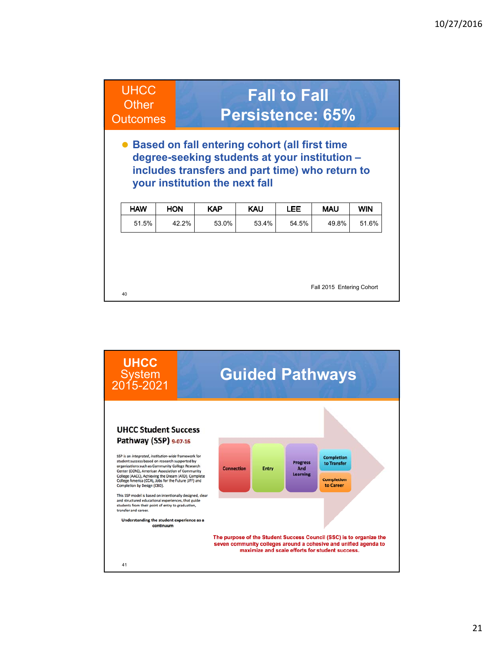

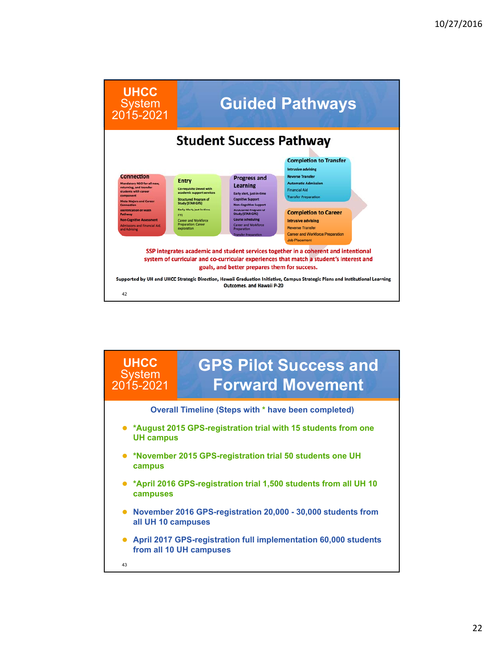

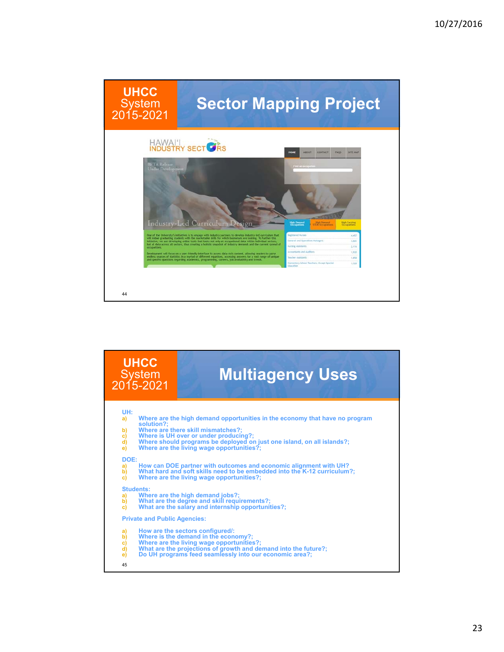

| <b>UHCC</b><br><b>System</b><br>2015-2021                                 | <b>Multiagency Uses</b>                                                                                                                                                                                                                                                                                                                                                                                                                                                         |
|---------------------------------------------------------------------------|---------------------------------------------------------------------------------------------------------------------------------------------------------------------------------------------------------------------------------------------------------------------------------------------------------------------------------------------------------------------------------------------------------------------------------------------------------------------------------|
| UH:<br>a)<br>solution?:<br>b)<br>c)<br>d)<br>e)<br>DOE:<br>a)<br>b)<br>c) | Where are the high demand opportunities in the economy that have no program<br>Where are there skill mismatches?:<br>Where is UH over or under producing?;<br>Where should programs be deployed on just one island, on all islands?;<br>Where are the living wage opportunities?:<br>How can DOE partner with outcomes and economic alignment with UH?<br>What hard and soft skills need to be embedded into the K-12 curriculum?;<br>Where are the living wage opportunities?; |
| <b>Students:</b><br>a)<br>b)<br>c)                                        | Where are the high demand jobs?;<br>What are the degree and skill requirements?;<br>What are the salary and internship opportunities?:                                                                                                                                                                                                                                                                                                                                          |
| <b>Private and Public Agencies:</b><br>a)<br>b)<br>c)<br>d)<br>e)<br>45   | How are the sectors configured/:<br>Where is the demand in the economy?;<br>Where are the living wage opportunities?;<br>What are the projections of growth and demand into the future?;<br>Do UH programs feed seamlessly into our economic area?;                                                                                                                                                                                                                             |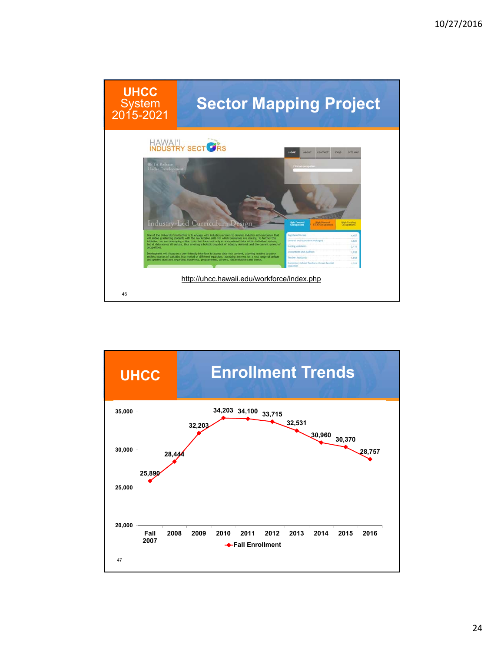

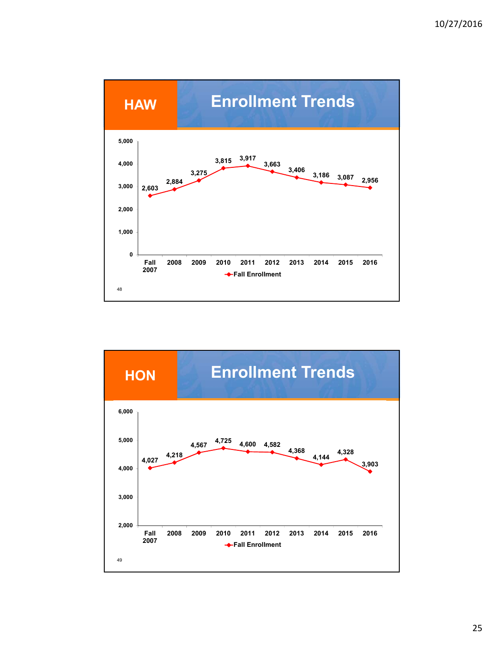

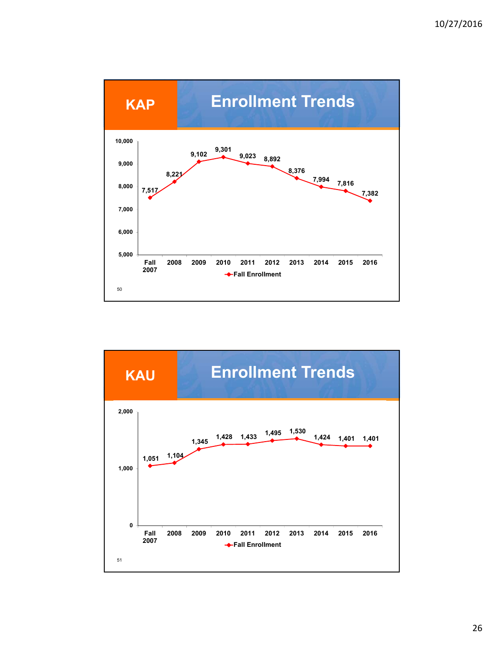

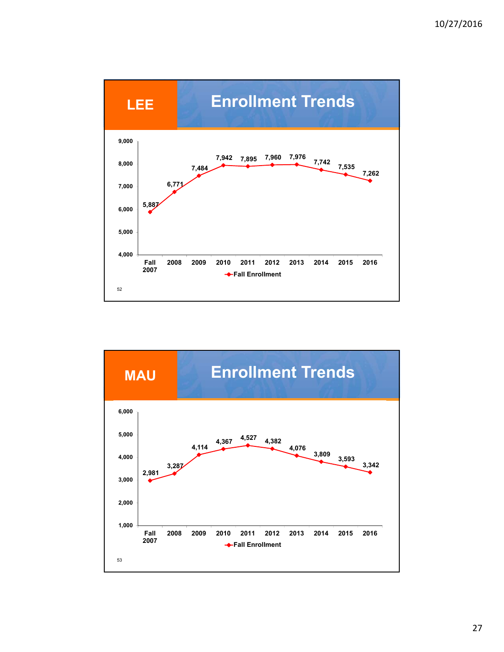

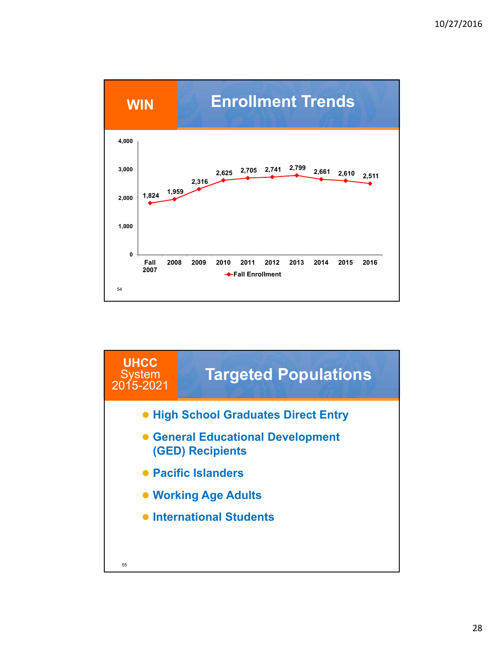

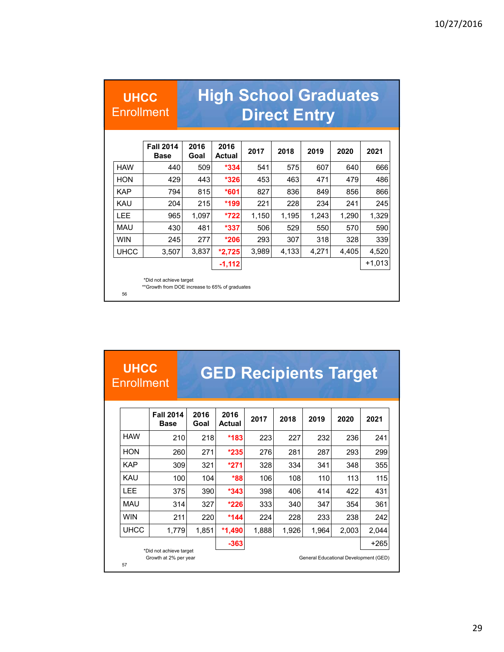| <b>UHCC</b><br><b>Enrollment</b> |                                                                           |              | <b>High School Graduates</b> |       | <b>Direct Entry</b> |       |       |          |
|----------------------------------|---------------------------------------------------------------------------|--------------|------------------------------|-------|---------------------|-------|-------|----------|
|                                  | <b>Fall 2014</b><br><b>Base</b>                                           | 2016<br>Goal | 2016<br><b>Actual</b>        | 2017  | 2018                | 2019  | 2020  | 2021     |
| <b>HAW</b>                       | 440                                                                       | 509          | $*334$                       | 541   | 575                 | 607   | 640   | 666      |
| <b>HON</b>                       | 429                                                                       | 443          | $*326$                       | 453   | 463                 | 471   | 479   | 486      |
| <b>KAP</b>                       | 794                                                                       | 815          | $*601$                       | 827   | 836                 | 849   | 856   | 866      |
| <b>KAU</b>                       | 204                                                                       | 215          | *199                         | 221   | 228                 | 234   | 241   | 245      |
| <b>IFF</b>                       | 965                                                                       | 1,097        | $*722$                       | 1,150 | 1,195               | 1,243 | 1,290 | 1,329    |
| <b>MAU</b>                       | 430                                                                       | 481          | $*337$                       | 506   | 529                 | 550   | 570   | 590      |
| <b>WIN</b>                       | 245                                                                       | 277          | $*206$                       | 293   | 307                 | 318   | 328   | 339      |
| <b>UHCC</b>                      | 3,507                                                                     | 3,837        | $*2,725$                     | 3,989 | 4,133               | 4,271 | 4,405 | 4,520    |
|                                  |                                                                           |              | $-1,112$                     |       |                     |       |       | $+1,013$ |
| 56                               | *Did not achieve target<br>**Growth from DOE increase to 65% of graduates |              |                              |       |                     |       |       |          |

| <b>UHCC</b><br><b>Enrollment</b> |                                 |              | <b>GED Recipients Target</b> |       |       |                                       |       |        |
|----------------------------------|---------------------------------|--------------|------------------------------|-------|-------|---------------------------------------|-------|--------|
|                                  | <b>Fall 2014</b><br><b>Base</b> | 2016<br>Goal | 2016<br>Actual               | 2017  | 2018  | 2019                                  | 2020  | 2021   |
| <b>HAW</b>                       | 210                             | 218          | *183                         | 223   | 227   | 232                                   | 236   | 241    |
| <b>HON</b>                       | 260                             | 271          | $*235$                       | 276   | 281   | 287                                   | 293   | 299    |
| <b>KAP</b>                       | 309                             | 321          | $*271$                       | 328   | 334   | 341                                   | 348   | 355    |
| KAU                              | 100                             | 104          | *88                          | 106   | 108   | 110                                   | 113   | 115    |
| LEE                              | 375                             | 390          | $*343$                       | 398   | 406   | 414                                   | 422   | 431    |
| <b>MAU</b>                       | 314                             | 327          | $*226$                       | 333   | 340   | 347                                   | 354   | 361    |
| <b>WIN</b>                       | 211                             | 220          | *144                         | 224   | 228   | 233                                   | 238   | 242    |
| <b>UHCC</b>                      | 1,779                           | 1,851        | $*1,490$                     | 1,888 | 1,926 | 1,964                                 | 2,003 | 2,044  |
|                                  | *Did not achieve target         |              | $-363$                       |       |       |                                       |       | $+265$ |
| 57                               | Growth at 2% per year           |              |                              |       |       | General Educational Development (GED) |       |        |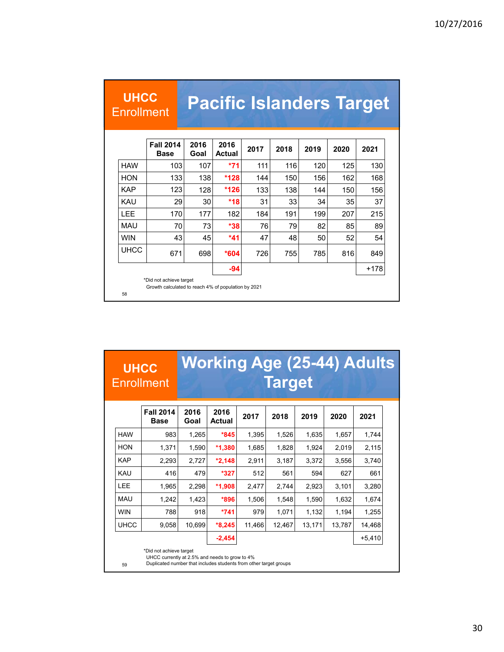| <b>UHCC</b><br><b>Enrollment</b> |                                 |              | <b>Pacific Islanders Target</b> |      |      |      |      |      |
|----------------------------------|---------------------------------|--------------|---------------------------------|------|------|------|------|------|
|                                  |                                 |              |                                 |      |      |      |      |      |
|                                  | <b>Fall 2014</b><br><b>Base</b> | 2016<br>Goal | 2016<br>Actual                  | 2017 | 2018 | 2019 | 2020 | 2021 |
| <b>HAW</b>                       | 103                             | 107          | *71                             | 111  | 116  | 120  | 125  | 130  |
| <b>HON</b>                       | 133                             | 138          | *128                            | 144  | 150  | 156  | 162  | 168  |
| <b>KAP</b>                       | 123                             | 128          | *126                            | 133  | 138  | 144  | 150  | 156  |
| <b>KAU</b>                       | 29                              | 30           | $*18$                           | 31   | 33   | 34   | 35   | 37   |
| <b>IFF</b>                       | 170                             | 177          | 182                             | 184  | 191  | 199  | 207  | 215  |
| MAU                              | 70                              | 73           | *38                             | 76   | 79   | 82   | 85   | 89   |
| <b>WIN</b>                       | 43                              | 45           | *41                             | 47   | 48   | 50   | 52   | 54   |
| <b>UHCC</b>                      | 671                             | 698          | *604                            | 726  | 755  | 785  | 816  | 849  |
|                                  |                                 |              | -94                             |      |      |      |      | +178 |

| <b>JUHCCA</b>     | Working Age (25-44) Adults |
|-------------------|----------------------------|
| <b>Enrollment</b> | <b>Target</b>              |

|             | <b>Fall 2014</b><br><b>Base</b> | 2016<br>Goal | 2016<br>Actual | 2017   | 2018   | 2019   | 2020   | 2021     |
|-------------|---------------------------------|--------------|----------------|--------|--------|--------|--------|----------|
| <b>HAW</b>  | 983                             | 1,265        | $*845$         | 1,395  | 1,526  | 1,635  | 1,657  | 1,744    |
| <b>HON</b>  | 1.371                           | 1,590        | $*1,380$       | 1,685  | 1,828  | 1,924  | 2,019  | 2,115    |
| <b>KAP</b>  | 2,293                           | 2,727        | $*2,148$       | 2,911  | 3,187  | 3,372  | 3,556  | 3,740    |
| <b>KAU</b>  | 416                             | 479          | *327           | 512    | 561    | 594    | 627    | 661      |
| <b>LEE</b>  | 1,965                           | 2,298        | $*1,908$       | 2,477  | 2,744  | 2,923  | 3,101  | 3,280    |
| MAU         | 1.242                           | 1,423        | *896           | 1,506  | 1,548  | 1,590  | 1,632  | 1,674    |
| <b>WIN</b>  | 788                             | 918          | *741           | 979    | 1,071  | 1,132  | 1,194  | 1,255    |
| <b>UHCC</b> | 9,058                           | 10,699       | $*8,245$       | 11,466 | 12,467 | 13,171 | 13,787 | 14,468   |
|             |                                 |              | $-2,454$       |        |        |        |        | $+5,410$ |
|             | *Did not achieve target         |              |                |        |        |        |        |          |

59

UHCC currently at 2.5% and needs to grow to 4% Duplicated number that includes students from other target groups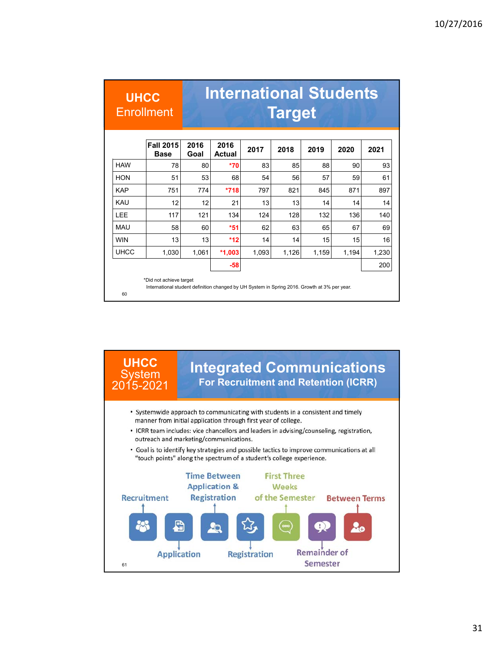|             | <b>UHCC</b><br><b>Enrollment</b> |              | <b>International Students</b> |       | <b>Target</b> |       |       |       |
|-------------|----------------------------------|--------------|-------------------------------|-------|---------------|-------|-------|-------|
|             | <b>Fall 2015</b><br><b>Base</b>  | 2016<br>Goal | 2016<br><b>Actual</b>         | 2017  | 2018          | 2019  | 2020  | 2021  |
| <b>HAW</b>  | 78                               | 80           | *70                           | 83    | 85            | 88    | 90    | 93    |
| HON         | 51                               | 53           | 68                            | 54    | 56            | 57    | 59    | 61    |
| <b>KAP</b>  | 751                              | 774          | $*718$                        | 797   | 821           | 845   | 871   | 897   |
| KAU         | 12                               | 12           | 21                            | 13    | 13            | 14    | 14    | 14    |
| <b>LEE</b>  | 117                              | 121          | 134                           | 124   | 128           | 132   | 136   | 140   |
| MAU         | 58                               | 60           | *51                           | 62    | 63            | 65    | 67    | 69    |
| <b>WIN</b>  | 13                               | 13           | $*12$                         | 14    | 14            | 15    | 15    | 16    |
| <b>UHCC</b> | 1,030                            | 1,061        | $*1,003$                      | 1,093 | 1,126         | 1,159 | 1,194 | 1,230 |
|             |                                  |              | $-58$                         |       |               |       |       | 200   |

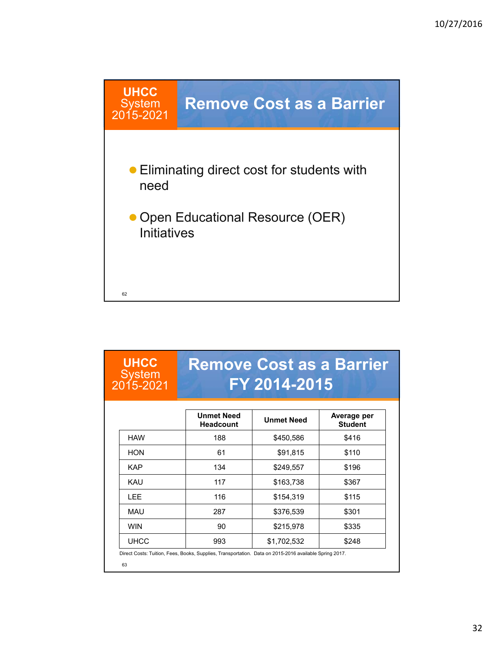

| <b>UHCC</b><br><b>System</b><br>2015-2021 |                                       | <b>Remove Cost as a Barrier</b><br>FY 2014-2015 |                               |
|-------------------------------------------|---------------------------------------|-------------------------------------------------|-------------------------------|
|                                           | <b>Unmet Need</b><br><b>Headcount</b> | <b>Unmet Need</b>                               | Average per<br><b>Student</b> |
| <b>HAW</b>                                | 188                                   | \$450,586                                       | \$416                         |
| <b>HON</b>                                | 61                                    | \$91,815                                        | \$110                         |
| <b>KAP</b>                                | 134                                   | \$249,557                                       | \$196                         |
| KAU                                       | 117                                   | \$163,738                                       | \$367                         |
| I FF                                      | 116                                   | \$154,319                                       | \$115                         |
| MAU                                       | 287                                   | \$376,539                                       | \$301                         |
| <b>WIN</b>                                | 90                                    | \$215,978                                       | \$335                         |
| <b>UHCC</b>                               | 993                                   | \$1,702,532                                     | \$248                         |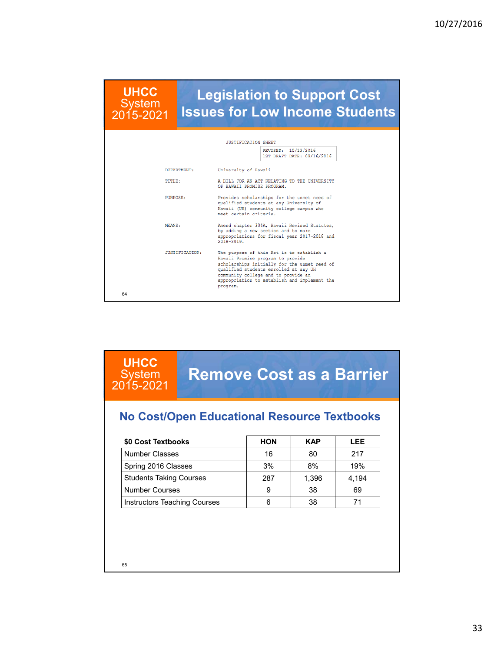**UHCC System** 2015-2021

### **Legislation to Support Cost Issues for Low Income Students**

|    |                | <b>JUSTIFICATION SHEET</b>                                                                                                                                                                                                                                                 |
|----|----------------|----------------------------------------------------------------------------------------------------------------------------------------------------------------------------------------------------------------------------------------------------------------------------|
|    |                | REVISED: 10/13/2016<br>1ST DRAFT DATE: 09/16/2016                                                                                                                                                                                                                          |
|    | DEPARTMENT:    | University of Hawaii                                                                                                                                                                                                                                                       |
|    | <b>TITLE:</b>  | A BILL FOR AN ACT RELATING TO THE UNIVERSITY<br>OF HAWAII PROMISE PROGRAM.                                                                                                                                                                                                 |
|    | PURPOSE:       | Provides scholarships for the unmet need of<br>qualified students at any University of<br>Hawaii (UH) community college campus who<br>meet certain criteria.                                                                                                               |
|    | MEANS:         | Amend chapter 304A, Hawaii Revised Statutes,<br>by adding a new section and to make<br>appropriations for fiscal year 2017-2018 and<br>$2018 - 2019$ .                                                                                                                     |
|    | JUSTIFICATION: | The purpose of this Act is to establish a<br>Hawaii Promise program to provide<br>scholarships initially for the unmet need of<br>qualified students enrolled at any UH<br>community college and to provide an<br>appropriation to establish and implement the<br>program. |
| 64 |                |                                                                                                                                                                                                                                                                            |

#### **UHCC System** 2015-2021

# **Remove Cost as a Barrier**

#### **No Cost/Open Educational Resource Textbooks**

| \$0 Cost Textbooks                  | <b>HON</b> | <b>KAP</b> | <b>LEE</b> |
|-------------------------------------|------------|------------|------------|
| <b>Number Classes</b>               | 16         | 80         | 217        |
| Spring 2016 Classes                 | 3%         | 8%         | 19%        |
| <b>Students Taking Courses</b>      | 287        | 1.396      | 4.194      |
| <b>Number Courses</b>               | 9          | 38         | 69         |
| <b>Instructors Teaching Courses</b> | 6          | 38         |            |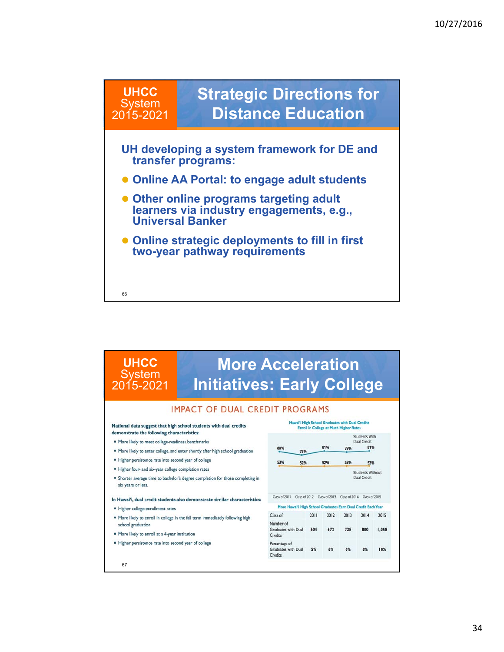

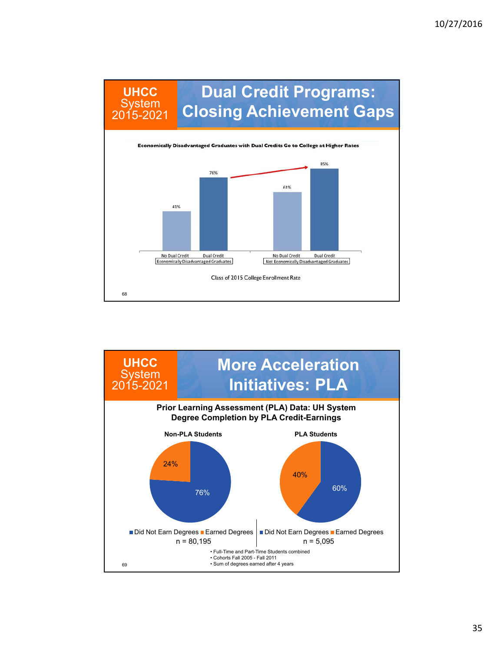